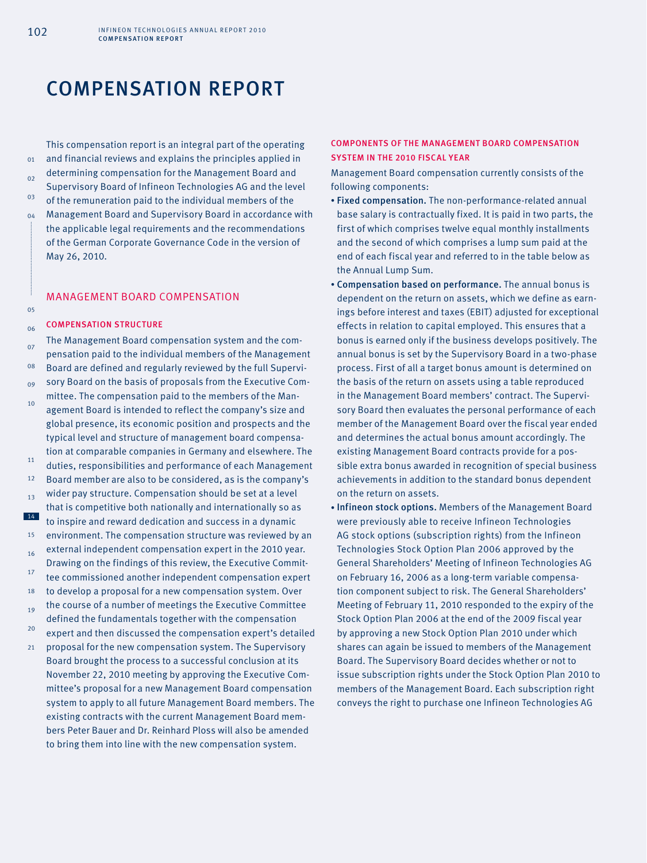# COMPENSATION REPORT

This compensation report is an integral part of the operating and financial reviews and explains the principles applied in determining compensation for the Management Board and Supervisory Board of Infineon Technologies AG and the level of the remuneration paid to the individual members of the Management Board and Supervisory Board in accordance with the applicable legal requirements and the recommendations of the German Corporate Governance Code in the version of May 26, 2010.

## MANAGEMENT BOARD COMPENSATION

## Compensation structure

- $06$ 07 08  $09$  $10^{-1}$ 11 12 13 14 15 16 17 18 19  $20$  $21$ The Management Board compensation system and the compensation paid to the individual members of the Management Board are defined and regularly reviewed by the full Supervisory Board on the basis of proposals from the Executive Committee. The compensation paid to the members of the Management Board is intended to reflect the company's size and global presence, its economic position and prospects and the typical level and structure of management board compensation at comparable companies in Germany and elsewhere. The duties, responsibilities and performance of each Management Board member are also to be considered, as is the company's wider pay structure. Compensation should be set at a level that is competitive both nationally and internationally so as to inspire and reward dedication and success in a dynamic environment. The compensation structure was reviewed by an external independent compensation expert in the 2010 year. Drawing on the findings of this review, the Executive Committee commissioned another independent compensation expert to develop a proposal for a new compensation system. Over the course of a number of meetings the Executive Committee defined the fundamentals together with the compensation expert and then discussed the compensation expert's detailed proposal for the new compensation system. The Supervisory Board brought the process to a successful conclusion at its November 22, 2010 meeting by approving the Executive Committee's proposal for a new Management Board compensation
	- system to apply to all future Management Board members. The existing contracts with the current Management Board members Peter Bauer and Dr. Reinhard Ploss will also be amended to bring them into line with the new compensation system.

## Components of the Management Board compensation system in the 2010 fiscal year

Management Board compensation currently consists of the following components:

- Fixed compensation. The non-performance-related annual base salary is contractually fixed. It is paid in two parts, the first of which comprises twelve equal monthly installments and the second of which comprises a lump sum paid at the end of each fiscal year and referred to in the table below as the Annual Lump Sum.
- Compensation based on performance. The annual bonus is dependent on the return on assets, which we define as earnings before interest and taxes (EBIT) adjusted for exceptional effects in relation to capital employed. This ensures that a bonus is earned only if the business develops positively. The annual bonus is set by the Supervisory Board in a two-phase process. First of all a target bonus amount is determined on the basis of the return on assets using a table reproduced in the Management Board members' contract. The Supervisory Board then evaluates the personal performance of each member of the Management Board over the fiscal year ended and determines the actual bonus amount accordingly. The existing Management Board contracts provide for a possible extra bonus awarded in recognition of special business achievements in addition to the standard bonus dependent on the return on assets.
- Infineon stock options. Members of the Management Board were previously able to receive Infineon Technologies AG stock options (subscription rights) from the Infineon Technologies Stock Option Plan 2006 approved by the General Shareholders' Meeting of Infineon Technologies AG on February 16, 2006 as a long-term variable compensation component subject to risk. The General Shareholders' Meeting of February 11, 2010 responded to the expiry of the Stock Option Plan 2006 at the end of the 2009 fiscal year by approving a new Stock Option Plan 2010 under which shares can again be issued to members of the Management Board. The Supervisory Board decides whether or not to issue subscription rights under the Stock Option Plan 2010 to members of the Management Board. Each subscription right conveys the right to purchase one Infineon Technologies AG

05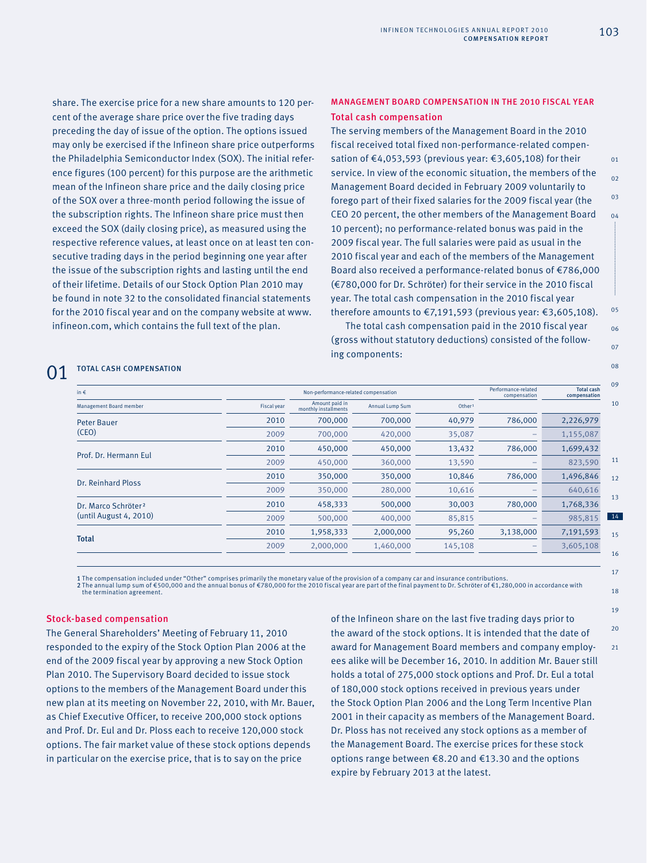share. The exercise price for a new share amounts to 120 percent of the average share price over the five trading days preceding the day of issue of the option. The options issued may only be exercised if the Infineon share price outperforms the Philadelphia Semiconductor Index (SOX). The initial reference figures (100 percent) for this purpose are the arithmetic mean of the Infineon share price and the daily closing price of the SOX over a three-month period following the issue of the subscription rights. The Infineon share price must then exceed the SOX (daily closing price), as measured using the respective reference values, at least once on at least ten consecutive trading days in the period beginning one year after the issue of the subscription rights and lasting until the end of their lifetime. Details of our Stock Option Plan 2010 may be found in note 32 to the consolidated financial statements for the 2010 fiscal year and on the company website at www. infineon.com, which contains the full text of the plan.

## MANAGEMENT BOARD COMPENSATION IN THE 2010 FISCAL YEAR Total cash compensation

The serving members of the Management Board in the 2010 fiscal received total fixed non-performance-related compensation of €4,053,593 (previous year: €3,605,108) for their service. In view of the economic situation, the members of the Management Board decided in February 2009 voluntarily to forego part of their fixed salaries for the 2009 fiscal year (the CEO 20 percent, the other members of the Management Board 10 percent); no performance-related bonus was paid in the 2009 fiscal year. The full salaries were paid as usual in the 2010 fiscal year and each of the members of the Management Board also received a performance-related bonus of €786,000 (€780,000 for Dr. Schröter) for their service in the 2010 fiscal year. The total cash compensation in the 2010 fiscal year therefore amounts to €7,191,593 (previous year: €3,605,108).

The total cash compensation paid in the 2010 fiscal year (gross without statutory deductions) consisted of the following components:

## 01 TOTAL CASH COMPENSATION

| in $\epsilon$                                             |                    | Non-performance-related compensation   |                 |                    |           | <b>Total cash</b><br>compensation |
|-----------------------------------------------------------|--------------------|----------------------------------------|-----------------|--------------------|-----------|-----------------------------------|
| Management Board member                                   | <b>Fiscal year</b> | Amount paid in<br>monthly installments | Annual Lump Sum | Other <sup>1</sup> |           |                                   |
| <b>Peter Bauer</b><br>(CEO)                               | 2010               | 700,000                                | 700,000         | 40,979             | 786,000   | 2,226,979                         |
|                                                           | 2009               | 700,000                                | 420,000         | 35,087             |           | 1,155,087                         |
| Prof. Dr. Hermann Eul                                     | 2010               | 450,000                                | 450,000         | 13,432             | 786,000   | 1,699,432                         |
|                                                           | 2009               | 450,000                                | 360,000         | 13,590             |           | 823,590                           |
| Dr. Reinhard Ploss                                        | 2010               | 350,000                                | 350,000         | 10,846             | 786,000   | 1,496,846                         |
|                                                           | 2009               | 350,000                                | 280,000         | 10,616             |           | 640,616                           |
| Dr. Marco Schröter <sup>2</sup><br>(until August 4, 2010) | 2010               | 458,333                                | 500,000         | 30,003             | 780,000   | 1,768,336                         |
|                                                           | 2009               | 500,000                                | 400,000         | 85,815             |           | 985,815                           |
| <b>Total</b>                                              | 2010               | 1,958,333                              | 2,000,000       | 95,260             | 3,138,000 | 7,191,593                         |
|                                                           | 2009               | 2,000,000                              | 1,460,000       | 145,108            |           | 3,605,108                         |

1 The compensation included under "Other" comprises primarily the monetary value of the provision of a company car and insurance contributions. 2 The annual lump sum of €500,000 and the annual bonus of €780,000 for the 2010 fiscal year are part of the final payment to Dr. Schröter of €1,280,000 in accordance with the termination agreement.

## Stock-based compensation

The General Shareholders' Meeting of February 11, 2010 responded to the expiry of the Stock Option Plan 2006 at the end of the 2009 fiscal year by approving a new Stock Option Plan 2010. The Supervisory Board decided to issue stock options to the members of the Management Board under this new plan at its meeting on November 22, 2010, with Mr. Bauer, as Chief Executive Officer, to receive 200,000 stock options and Prof. Dr. Eul and Dr. Ploss each to receive 120,000 stock options. The fair market value of these stock options depends in particular on the exercise price, that is to say on the price

of the Infineon share on the last five trading days prior to the award of the stock options. It is intended that the date of award for Management Board members and company employees alike will be December 16, 2010. In addition Mr. Bauer still holds a total of 275,000 stock options and Prof. Dr. Eul a total of 180,000 stock options received in previous years under the Stock Option Plan 2006 and the Long Term Incentive Plan 2001 in their capacity as members of the Management Board. Dr. Ploss has not received any stock options as a member of the Management Board. The exercise prices for these stock options range between €8.20 and €13.30 and the options expire by February 2013 at the latest.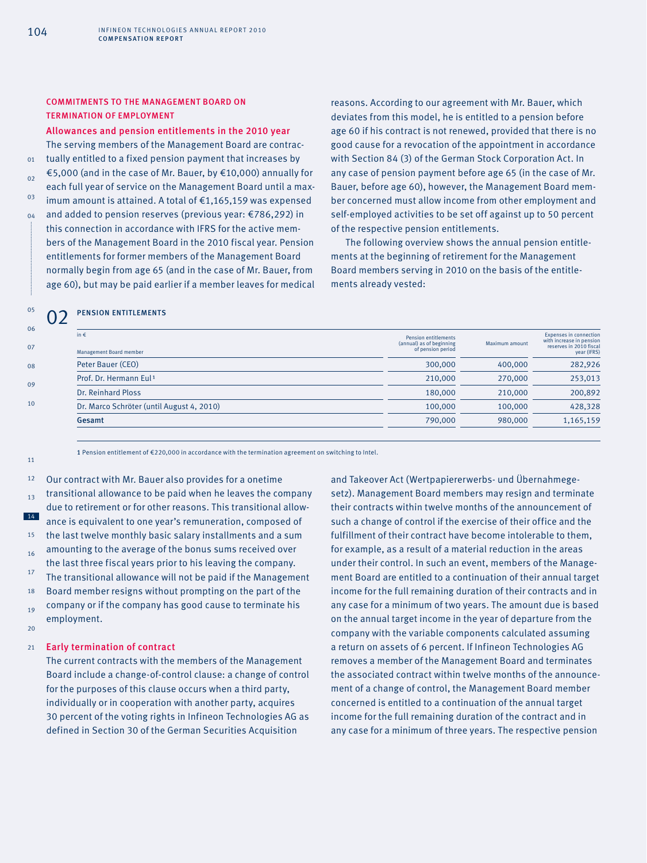## COMMITMENTS TO THE MANAGEMENT BOARD ON TERMINATION OF EMPLOYMENT

#### Allowances and pension entitlements in the 2010 year

The serving members of the Management Board are contractually entitled to a fixed pension payment that increases by €5,000 (and in the case of Mr. Bauer, by €10,000) annually for each full year of service on the Management Board until a maximum amount is attained. A total of €1,165,159 was expensed and added to pension reserves (previous year: €786,292) in this connection in accordance with IFRS for the active members of the Management Board in the 2010 fiscal year. Pension entitlements for former members of the Management Board normally begin from age 65 (and in the case of Mr. Bauer, from age 60), but may be paid earlier if a member leaves for medical

reasons. According to our agreement with Mr. Bauer, which deviates from this model, he is entitled to a pension before age 60 if his contract is not renewed, provided that there is no good cause for a revocation of the appointment in accordance with Section 84 (3) of the German Stock Corporation Act. In any case of pension payment before age 65 (in the case of Mr. Bauer, before age 60), however, the Management Board member concerned must allow income from other employment and self-employed activities to be set off against up to 50 percent of the respective pension entitlements.

The following overview shows the annual pension entitlements at the beginning of retirement for the Management Board members serving in 2010 on the basis of the entitlements already vested:

## 02 PENSION ENTITLEMENTS

| 06 |                                           |                                                                              |                |                                                                                                     |
|----|-------------------------------------------|------------------------------------------------------------------------------|----------------|-----------------------------------------------------------------------------------------------------|
| 07 | in $\epsilon$<br>Management Board member  | <b>Pension entitlements</b><br>(annual) as of beginning<br>of pension period | Maximum amount | <b>Expenses in connection</b><br>with increase in pension<br>reserves in 2010 fiscal<br>year (IFRS) |
| 08 | Peter Bauer (CEO)                         | 300,000                                                                      | 400,000        | 282,926                                                                                             |
| 09 | Prof. Dr. Hermann Eul <sup>1</sup>        | 210,000                                                                      | 270,000        | 253,013                                                                                             |
|    | Dr. Reinhard Ploss                        | 180,000                                                                      | 210,000        | 200,892                                                                                             |
| 10 | Dr. Marco Schröter (until August 4, 2010) | 100,000                                                                      | 100,000        | 428,328                                                                                             |
|    | Gesamt                                    | 790,000                                                                      | 980,000        | 1,165,159                                                                                           |
|    |                                           |                                                                              |                |                                                                                                     |

1 Pension entitlement of €220,000 in accordance with the termination agreement on switching to Intel.

12 13 14 15 16 17 18 19  $20$ Our contract with Mr. Bauer also provides for a onetime transitional allowance to be paid when he leaves the company due to retirement or for other reasons. This transitional allowance is equivalent to one year's remuneration, composed of the last twelve monthly basic salary installments and a sum amounting to the average of the bonus sums received over the last three fiscal years prior to his leaving the company. The transitional allowance will not be paid if the Management Board member resigns without prompting on the part of the company or if the company has good cause to terminate his employment.

#### 21 Early termination of contract

The current contracts with the members of the Management Board include a change-of-control clause: a change of control for the purposes of this clause occurs when a third party, individually or in cooperation with another party, acquires 30 percent of the voting rights in Infineon Technologies AG as defined in Section 30 of the German Securities Acquisition

and Takeover Act (Wertpapiererwerbs- und Übernahmegesetz). Management Board members may resign and terminate their contracts within twelve months of the announcement of such a change of control if the exercise of their office and the fulfillment of their contract have become intolerable to them, for example, as a result of a material reduction in the areas under their control. In such an event, members of the Management Board are entitled to a continuation of their annual target income for the full remaining duration of their contracts and in any case for a minimum of two years. The amount due is based on the annual target income in the year of departure from the company with the variable components calculated assuming a return on assets of 6 percent. If Infineon Technologies AG removes a member of the Management Board and terminates the associated contract within twelve months of the announcement of a change of control, the Management Board member concerned is entitled to a continuation of the annual target income for the full remaining duration of the contract and in any case for a minimum of three years. The respective pension

05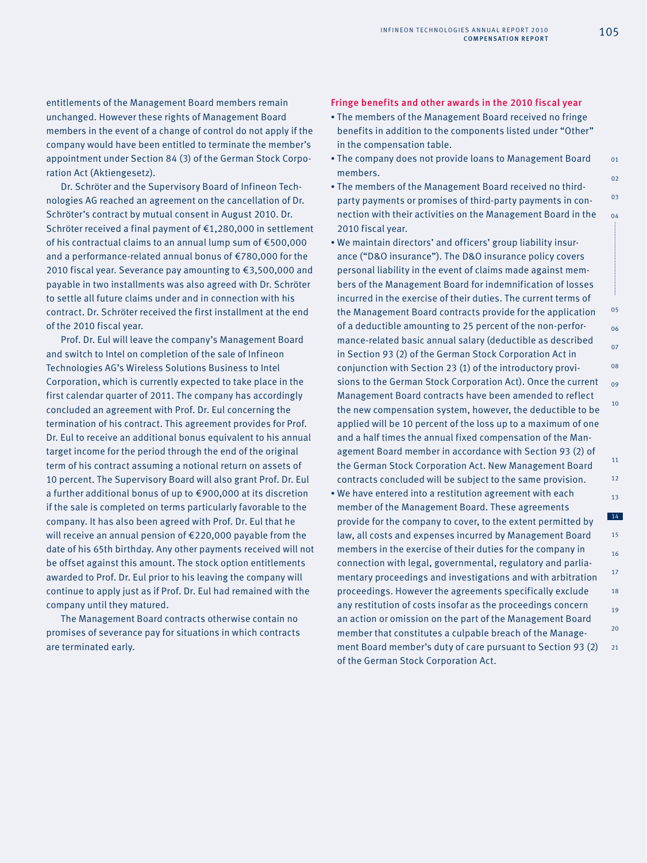entitlements of the Management Board members remain unchanged. However these rights of Management Board members in the event of a change of control do not apply if the company would have been entitled to terminate the member's appointment under Section 84 (3) of the German Stock Corporation Act (Aktiengesetz).

Dr. Schröter and the Supervisory Board of Infineon Technologies AG reached an agreement on the cancellation of Dr. Schröter's contract by mutual consent in August 2010. Dr. Schröter received a final payment of €1,280,000 in settlement of his contractual claims to an annual lump sum of €500,000 and a performance-related annual bonus of €780,000 for the 2010 fiscal year. Severance pay amounting to €3,500,000 and payable in two installments was also agreed with Dr. Schröter to settle all future claims under and in connection with his contract. Dr. Schröter received the first installment at the end of the 2010 fiscal year.

Prof. Dr. Eul will leave the company's Management Board and switch to Intel on completion of the sale of Infineon Technologies AG's Wireless Solutions Business to Intel Corporation, which is currently expected to take place in the first calendar quarter of 2011. The company has accordingly concluded an agreement with Prof. Dr. Eul concerning the termination of his contract. This agreement provides for Prof. Dr. Eul to receive an additional bonus equivalent to his annual target income for the period through the end of the original term of his contract assuming a notional return on assets of 10 percent. The Supervisory Board will also grant Prof. Dr. Eul a further additional bonus of up to €900,000 at its discretion if the sale is completed on terms particularly favorable to the company. It has also been agreed with Prof. Dr. Eul that he will receive an annual pension of €220,000 payable from the date of his 65th birthday. Any other payments received will not be offset against this amount. The stock option entitlements awarded to Prof. Dr. Eul prior to his leaving the company will continue to apply just as if Prof. Dr. Eul had remained with the company until they matured.

The Management Board contracts otherwise contain no promises of severance pay for situations in which contracts are terminated early.

## Fringe benefits and other awards in the 2010 fiscal year

- The members of the Management Board received no fringe benefits in addition to the components listed under "Other" in the compensation table.
- The company does not provide loans to Management Board members.
- The members of the Management Board received no thirdparty payments or promises of third-party payments in connection with their activities on the Management Board in the 2010 fiscal year.
- We maintain directors' and officers' group liability insurance ("D&O insurance"). The D&O insurance policy covers personal liability in the event of claims made against members of the Management Board for indemnification of losses incurred in the exercise of their duties. The current terms of the Management Board contracts provide for the application of a deductible amounting to 25 percent of the non-performance-related basic annual salary (deductible as described in Section 93 (2) of the German Stock Corporation Act in conjunction with Section 23 (1) of the introductory provisions to the German Stock Corporation Act). Once the current Management Board contracts have been amended to reflect the new compensation system, however, the deductible to be applied will be 10 percent of the loss up to a maximum of one and a half times the annual fixed compensation of the Management Board member in accordance with Section 93 (2) of the German Stock Corporation Act. New Management Board contracts concluded will be subject to the same provision.
- 13 14 15 16 17 18 19  $20$  $21$ • We have entered into a restitution agreement with each member of the Management Board. These agreements provide for the company to cover, to the extent permitted by law, all costs and expenses incurred by Management Board members in the exercise of their duties for the company in connection with legal, governmental, regulatory and parliamentary proceedings and investigations and with arbitration proceedings. However the agreements specifically exclude any restitution of costs insofar as the proceedings concern an action or omission on the part of the Management Board member that constitutes a culpable breach of the Management Board member's duty of care pursuant to Section 93 (2) of the German Stock Corporation Act.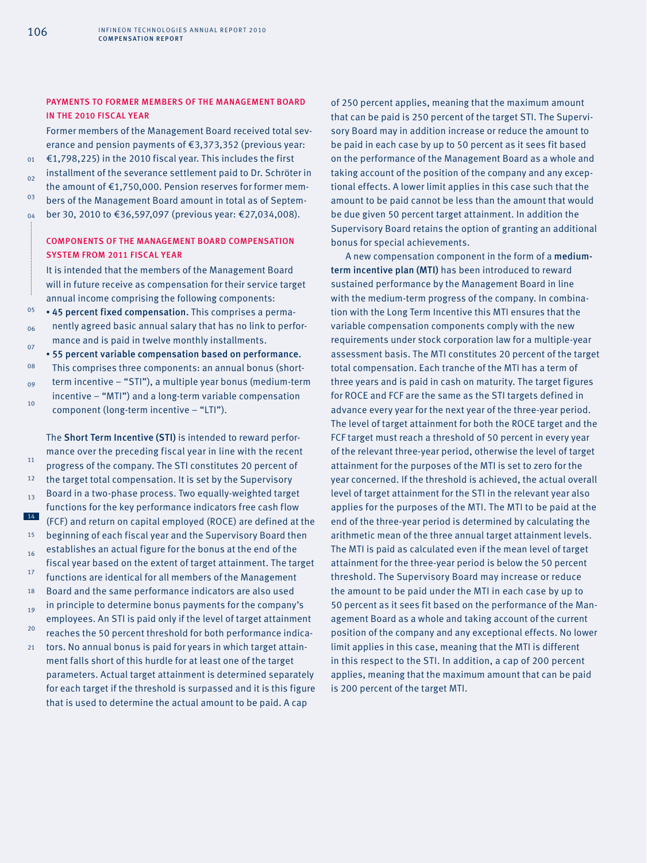## PAYMENTS TO FORMER MEMBERS OF THE MANAGEMENT BOARD IN THE 2010 FISCAL YEAR

Former members of the Management Board received total severance and pension payments of €3,373,352 (previous year: €1,798,225) in the 2010 fiscal year. This includes the first installment of the severance settlement paid to Dr. Schröter in the amount of €1,750,000. Pension reserves for former members of the Management Board amount in total as of September 30, 2010 to €36,597,097 (previous year: €27,034,008).

## COMPONENTS OF THE MANAGEMENT BOARD COMPENSATION SYSTEM FROM 2011 FISCAL YEAR

It is intended that the members of the Management Board will in future receive as compensation for their service target annual income comprising the following components:

05 06 • 45 percent fixed compensation. This comprises a permanently agreed basic annual salary that has no link to performance and is paid in twelve monthly installments.

07 08 09 10 • 55 percent variable compensation based on performance. This comprises three components: an annual bonus (shortterm incentive – "STI"), a multiple year bonus (medium-term incentive – "MTI") and a long-term variable compensation component (long-term incentive – "LTI").

11 12 13 14 15 16 17 18 19  $20$  $21$ The Short Term Incentive (STI) is intended to reward performance over the preceding fiscal year in line with the recent progress of the company. The STI constitutes 20 percent of the target total compensation. It is set by the Supervisory Board in a two-phase process. Two equally-weighted target functions for the key performance indicators free cash flow (FCF) and return on capital employed (ROCE) are defined at the beginning of each fiscal year and the Supervisory Board then establishes an actual figure for the bonus at the end of the fiscal year based on the extent of target attainment. The target functions are identical for all members of the Management Board and the same performance indicators are also used in principle to determine bonus payments for the company's employees. An STI is paid only if the level of target attainment reaches the 50 percent threshold for both performance indicators. No annual bonus is paid for years in which target attain-

ment falls short of this hurdle for at least one of the target parameters. Actual target attainment is determined separately for each target if the threshold is surpassed and it is this figure that is used to determine the actual amount to be paid. A cap

of 250 percent applies, meaning that the maximum amount that can be paid is 250 percent of the target STI. The Supervisory Board may in addition increase or reduce the amount to be paid in each case by up to 50 percent as it sees fit based on the performance of the Management Board as a whole and taking account of the position of the company and any exceptional effects. A lower limit applies in this case such that the amount to be paid cannot be less than the amount that would be due given 50 percent target attainment. In addition the Supervisory Board retains the option of granting an additional bonus for special achievements.

A new compensation component in the form of a mediumterm incentive plan (MTI) has been introduced to reward sustained performance by the Management Board in line with the medium-term progress of the company. In combination with the Long Term Incentive this MTI ensures that the variable compensation components comply with the new requirements under stock corporation law for a multiple-year assessment basis. The MTI constitutes 20 percent of the target total compensation. Each tranche of the MTI has a term of three years and is paid in cash on maturity. The target figures for ROCE and FCF are the same as the STI targets defined in advance every year for the next year of the three-year period. The level of target attainment for both the ROCE target and the FCF target must reach a threshold of 50 percent in every year of the relevant three-year period, otherwise the level of target attainment for the purposes of the MTI is set to zero for the year concerned. If the threshold is achieved, the actual overall level of target attainment for the STI in the relevant year also applies for the purposes of the MTI. The MTI to be paid at the end of the three-year period is determined by calculating the arithmetic mean of the three annual target attainment levels. The MTI is paid as calculated even if the mean level of target attainment for the three-year period is below the 50 percent threshold. The Supervisory Board may increase or reduce the amount to be paid under the MTI in each case by up to 50 percent as it sees fit based on the performance of the Management Board as a whole and taking account of the current position of the company and any exceptional effects. No lower limit applies in this case, meaning that the MTI is different in this respect to the STI. In addition, a cap of 200 percent applies, meaning that the maximum amount that can be paid is 200 percent of the target MTI.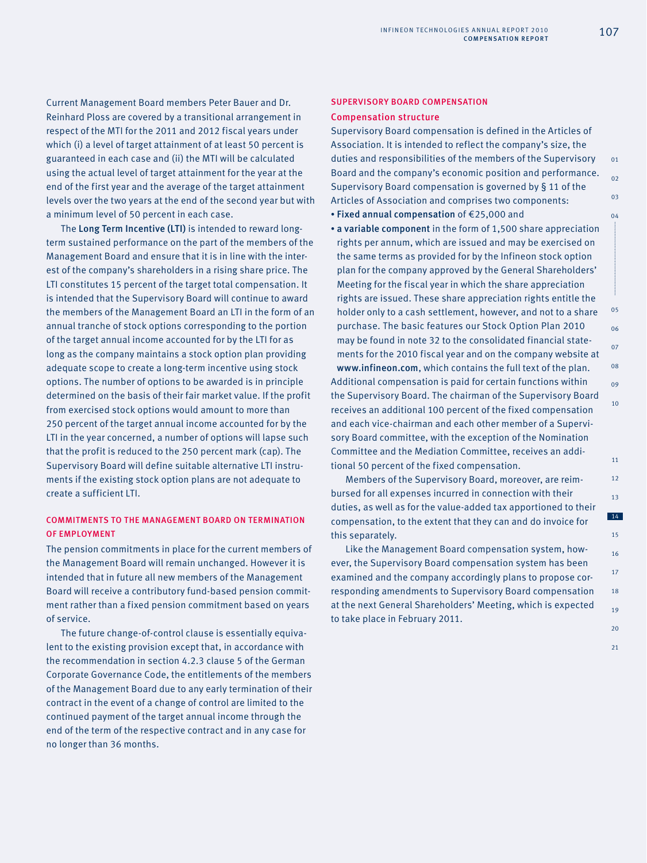Current Management Board members Peter Bauer and Dr. Reinhard Ploss are covered by a transitional arrangement in respect of the MTI for the 2011 and 2012 fiscal years under which (i) a level of target attainment of at least 50 percent is guaranteed in each case and (ii) the MTI will be calculated using the actual level of target attainment for the year at the end of the first year and the average of the target attainment levels over the two years at the end of the second year but with a minimum level of 50 percent in each case.

The Long Term Incentive (LTI) is intended to reward longterm sustained performance on the part of the members of the Management Board and ensure that it is in line with the interest of the company's shareholders in a rising share price. The LTI constitutes 15 percent of the target total compensation. It is intended that the Supervisory Board will continue to award the members of the Management Board an LTI in the form of an annual tranche of stock options corresponding to the portion of the target annual income accounted for by the LTI for as long as the company maintains a stock option plan providing adequate scope to create a long-term incentive using stock options. The number of options to be awarded is in principle determined on the basis of their fair market value. If the profit from exercised stock options would amount to more than 250 percent of the target annual income accounted for by the LTI in the year concerned, a number of options will lapse such that the profit is reduced to the 250 percent mark (cap). The Supervisory Board will define suitable alternative LTI instruments if the existing stock option plans are not adequate to create a sufficient LTI.

## COMMITMENTS TO THE MANAGEMENT BOARD ON TERMINATION OF EMPLOYMENT

The pension commitments in place for the current members of the Management Board will remain unchanged. However it is intended that in future all new members of the Management Board will receive a contributory fund-based pension commitment rather than a fixed pension commitment based on years of service.

The future change-of-control clause is essentially equivalent to the existing provision except that, in accordance with the recommendation in section 4.2.3 clause 5 of the German Corporate Governance Code, the entitlements of the members of the Management Board due to any early termination of their contract in the event of a change of control are limited to the continued payment of the target annual income through the end of the term of the respective contract and in any case for no longer than 36 months.

#### SUPERVISORY BOARD COMPENSATION

### Compensation structure

Supervisory Board compensation is defined in the Articles of Association. It is intended to reflect the company's size, the duties and responsibilities of the members of the Supervisory Board and the company's economic position and performance. Supervisory Board compensation is governed by § 11 of the Articles of Association and comprises two components:

- Fixed annual compensation of €25,000 and
- a variable component in the form of 1,500 share appreciation rights per annum, which are issued and may be exercised on the same terms as provided for by the Infineon stock option plan for the company approved by the General Shareholders' Meeting for the fiscal year in which the share appreciation rights are issued. These share appreciation rights entitle the holder only to a cash settlement, however, and not to a share purchase. The basic features our Stock Option Plan 2010 may be found in note 32 to the consolidated financial statements for the 2010 fiscal year and on the company website at www.infineon.com, which contains the full text of the plan. Additional compensation is paid for certain functions within the Supervisory Board. The chairman of the Supervisory Board receives an additional 100 percent of the fixed compensation and each vice-chairman and each other member of a Supervisory Board committee, with the exception of the Nomination Committee and the Mediation Committee, receives an additional 50 percent of the fixed compensation.

Members of the Supervisory Board, moreover, are reimbursed for all expenses incurred in connection with their duties, as well as for the value-added tax apportioned to their compensation, to the extent that they can and do invoice for this separately.

Like the Management Board compensation system, however, the Supervisory Board compensation system has been examined and the company accordingly plans to propose corresponding amendments to Supervisory Board compensation at the next General Shareholders' Meeting, which is expected to take place in February 2011.